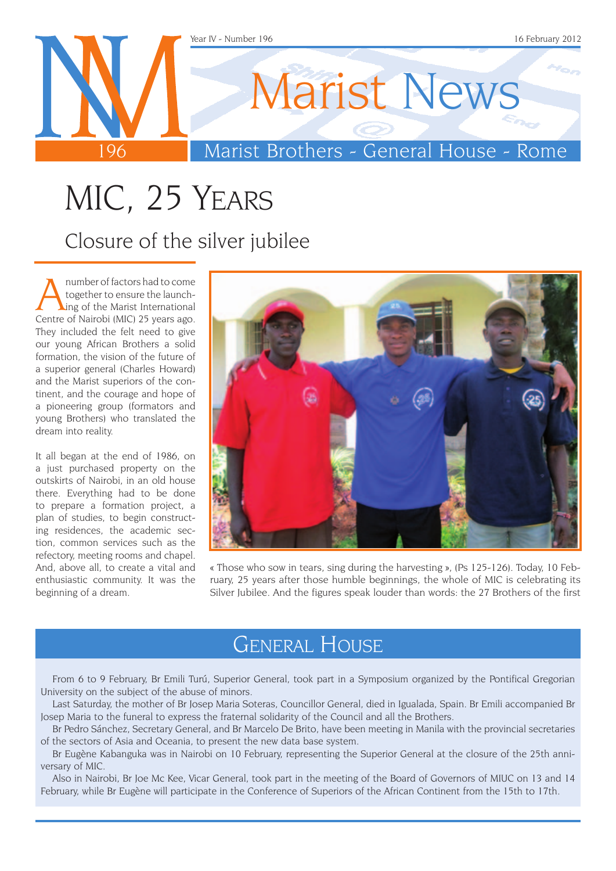

# MIC, 25 Years

Closure of the silver jubilee

Anumber of factors had to come<br>together to ensure the launch-<br>ing of the Marist International<br>Centre of Nairobi (MIC) 25 years ago together to ensure the launch-Centre of Nairobi (MIC) 25 years ago. They included the felt need to give our young African Brothers a solid formation, the vision of the future of a superior general (Charles Howard) and the Marist superiors of the continent, and the courage and hope of a pioneering group (formators and young Brothers) who translated the dream into reality.

It all began at the end of 1986, on a just purchased property on the outskirts of Nairobi, in an old house there. Everything had to be done to prepare a formation project, a plan of studies, to begin constructing residences, the academic section, common services such as the refectory, meeting rooms and chapel. And, above all, to create a vital and enthusiastic community. It was the beginning of a dream.



« Those who sow in tears, sing during the harvesting », (Ps 125-126). Today, 10 February, 25 years after those humble beginnings, the whole of MIC is celebrating its Silver Jubilee. And the figures speak louder than words: the 27 Brothers of the first

### General House

From 6 to 9 February, Br Emili Turú, Superior General, took part in a Symposium organized by the Pontifical Gregorian University on the subject of the abuse of minors.

Last Saturday, the mother of Br Josep Maria Soteras, Councillor General, died in Igualada, Spain. Br Emili accompanied Br Josep Maria to the funeral to express the fraternal solidarity of the Council and all the Brothers.

Br Pedro Sánchez, Secretary General, and Br Marcelo De Brito, have been meeting in Manila with the provincial secretaries of the sectors of Asia and Oceania, to present the new data base system.

Br Eugène Kabanguka was in Nairobi on 10 February, representing the Superior General at the closure of the 25th anniversary of MIC.

Also in Nairobi, Br Joe Mc Kee, Vicar General, took part in the meeting of the Board of Governors of MIUC on 13 and 14 February, while Br Eugène will participate in the Conference of Superiors of the African Continent from the 15th to 17th.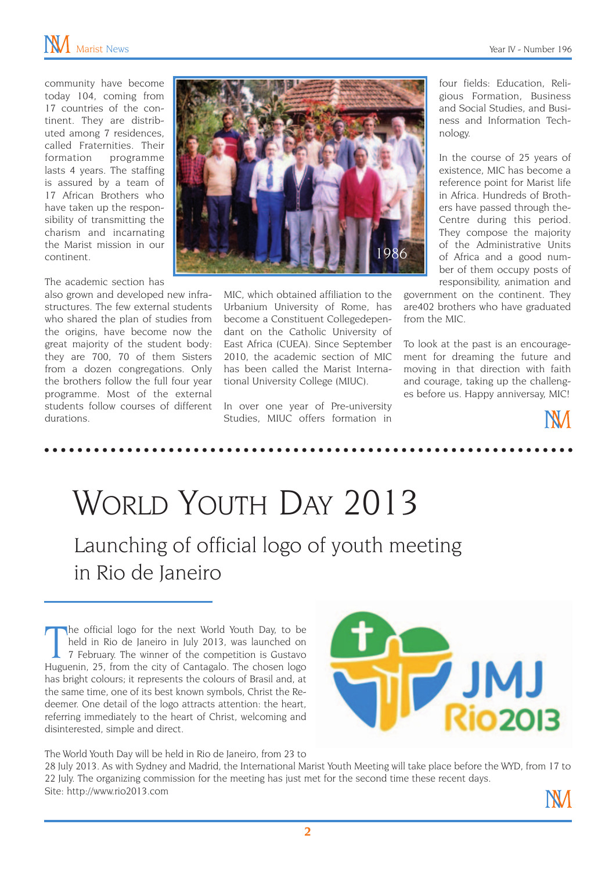community have become today 104, coming from 17 countries of the continent. They are distributed among 7 residences, called Fraternities. Their formation programme lasts 4 years. The staffing is assured by a team of 17 African Brothers who have taken up the responsibility of transmitting the charism and incarnating the Marist mission in our continent.

#### The academic section has

also grown and developed new infrastructures. The few external students who shared the plan of studies from the origins, have become now the great majority of the student body: they are 700, 70 of them Sisters from a dozen congregations. Only the brothers follow the full four year programme. Most of the external students follow courses of different durations.



MIC, which obtained affiliation to the Urbanium University of Rome, has become a Constituent Collegedependant on the Catholic University of East Africa (CUEA). Since September 2010, the academic section of MIC has been called the Marist International University College (MIUC).

In over one year of Pre-university Studies, MIUC offers formation in four fields: Education, Religious Formation, Business and Social Studies, and Business and Information Technology.

In the course of 25 years of existence, MIC has become a reference point for Marist life in Africa. Hundreds of Brothers have passed through the-Centre during this period. They compose the majority of the Administrative Units of Africa and a good number of them occupy posts of responsibility, animation and

government on the continent. They are402 brothers who have graduated from the MIC.

To look at the past is an encouragement for dreaming the future and moving in that direction with faith and courage, taking up the challenges before us. Happy anniversay, MIC!



## World Youth Day 2013 Launching of official logo of youth meeting in Rio de Janeiro

The official logo for the next World Youth Day, to be held in Rio de Janeiro in July 2013, was launched on 7 February. The winner of the competition is Gustavo Huguenin, 25, from the city of Cantagalo. The chosen logo he official logo for the next World Youth Day, to be held in Rio de Janeiro in July 2013, was launched on 7 February. The winner of the competition is Gustavo has bright colours; it represents the colours of Brasil and, at the same time, one of its best known symbols, Christ the Redeemer. One detail of the logo attracts attention: the heart, referring immediately to the heart of Christ, welcoming and disinterested, simple and direct.



The World Youth Day will be held in Rio de Janeiro, from 23 to

28 July 2013. As with Sydney and Madrid, the International Marist Youth Meeting will take place before the WYD, from 17 to 22 July. The organizing commission for the meeting has just met for the second time these recent days. Site: http://www.rio2013.com

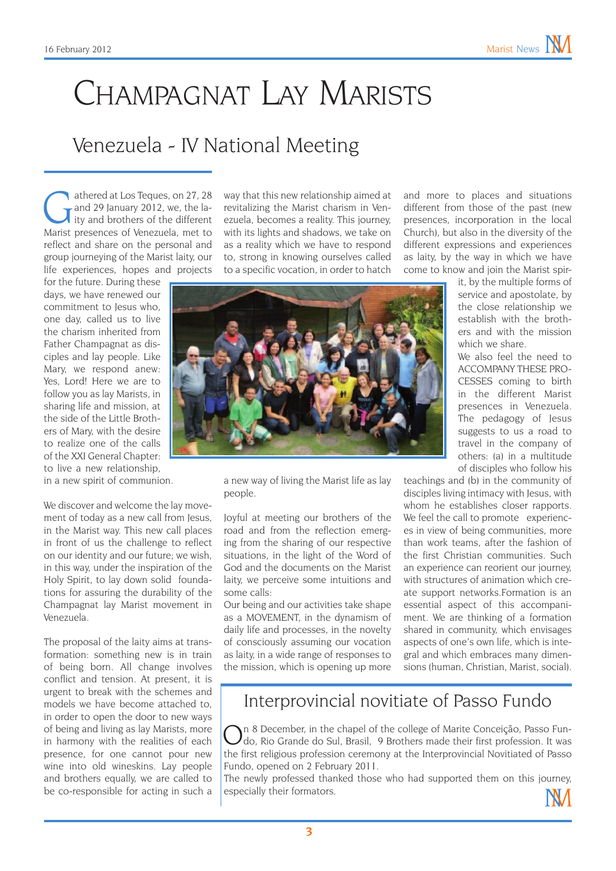# Champagnat Lay Marists

#### Venezuela - IV National Meeting

athered at Los Teques, on 27, 28<br>
and 29 January 2012, we, the la-<br>
ity and brothers of the different<br>
Marist presences of Venezuela, met to and 29 January 2012, we, the la-Marist presences of Venezuela, met to reflect and share on the personal and group journeying of the Marist laity, our life experiences, hopes and projects

for the future. During these days, we have renewed our commitment to Jesus who, one day, called us to live the charism inherited from Father Champagnat as disciples and lay people. Like Mary, we respond anew: Yes, Lord! Here we are to follow you as lay Marists, in sharing life and mission, at the side of the Little Brothers of Mary, with the desire to realize one of the calls of the XXI General Chapter: to live a new relationship, in a new spirit of communion.

We discover and welcome the lay movement of today as a new call from Jesus, in the Marist way. This new call places in front of us the challenge to reflect on our identity and our future; we wish, in this way, under the inspiration of the Holy Spirit, to lay down solid foundations for assuring the durability of the Champagnat lay Marist movement in Venezuela.

The proposal of the laity aims at transformation: something new is in train of being born. All change involves conflict and tension. At present, it is urgent to break with the schemes and models we have become attached to, in order to open the door to new ways of being and living as lay Marists, more in harmony with the realities of each presence, for one cannot pour new wine into old wineskins. Lay people and brothers equally, we are called to be co-responsible for acting in such a

way that this new relationship aimed at revitalizing the Marist charism in Venezuela, becomes a reality. This journey, with its lights and shadows, we take on as a reality which we have to respond to, strong in knowing ourselves called to a specific vocation, in order to hatch and more to places and situations different from those of the past (new presences, incorporation in the local Church), but also in the diversity of the different expressions and experiences as laity, by the way in which we have come to know and join the Marist spir-



a new way of living the Marist life as lay people.

Joyful at meeting our brothers of the road and from the reflection emerging from the sharing of our respective situations, in the light of the Word of God and the documents on the Marist laity, we perceive some intuitions and some calls:

Our being and our activities take shape as a MOVEMENT, in the dynamism of daily life and processes, in the novelty of consciously assuming our vocation as laity, in a wide range of responses to the mission, which is opening up more the close relationship we establish with the brothers and with the mission which we share We also feel the need to ACCOMPANY THESE PRO-CESSES coming to birth in the different Marist presences in Venezuela. The pedagogy of Jesus

it, by the multiple forms of service and apostolate, by

suggests to us a road to travel in the company of others: (a) in a multitude of disciples who follow his

teachings and (b) in the community of disciples living intimacy with Jesus, with whom he establishes closer rapports. We feel the call to promote experiences in view of being communities, more than work teams, after the fashion of the first Christian communities. Such an experience can reorient our journey, with structures of animation which create support networks.Formation is an essential aspect of this accompaniment. We are thinking of a formation shared in community, which envisages aspects of one's own life, which is integral and which embraces many dimensions (human, Christian, Marist, social).

#### Interprovincial novitiate of Passo Fundo

On 8 December, in the chapel of the college of Marite Conceição, Passo Fun-do, Rio Grande do Sul, Brasil, 9 Brothers made their first profession. It was the first religious profession ceremony at the Interprovincial Novitiated of Passo Fundo, opened on 2 February 2011.

The newly professed thanked those who had supported them on this journey, especially their formators.